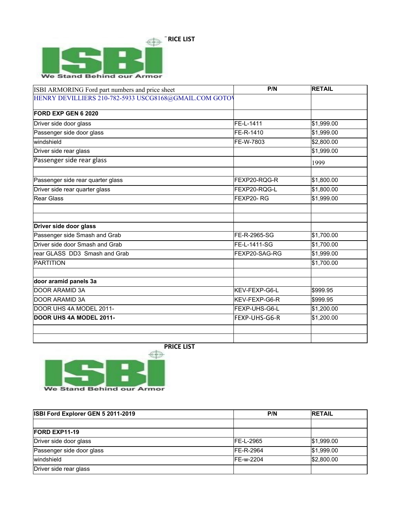

| ISBI ARMORING Ford part numbers and price sheet        | P/N               | <b>RETAIL</b> |
|--------------------------------------------------------|-------------------|---------------|
| HENRY DEVILLIERS 210-782-5933 USCG8168@GMAIL.COM GOTOV |                   |               |
| <b>FORD EXP GEN 6 2020</b>                             |                   |               |
| Driver side door glass                                 | FE-L-1411         | \$1,999.00    |
| Passenger side door glass                              | FE-R-1410         | \$1,999.00    |
| windshield                                             | <b>IFE-W-7803</b> | \$2,800.00    |
| Driver side rear glass                                 |                   | \$1,999.00    |
| Passenger side rear glass                              |                   | 1999          |
| Passenger side rear quarter glass                      | FEXP20-RQG-R      | \$1,800.00    |
| Driver side rear quarter glass                         | FEXP20-RQG-L      | \$1,800.00    |
| Rear Glass                                             | FEXP20-RG         | \$1,999.00    |
| Driver side door glass                                 |                   |               |
| Passenger side Smash and Grab                          | FE-R-2965-SG      | \$1,700.00    |
| Driver side door Smash and Grab                        | FE-L-1411-SG      | \$1,700.00    |
| rear GLASS DD3 Smash and Grab                          | FEXP20-SAG-RG     | \$1,999.00    |
| PARTITION                                              |                   | \$1,700.00    |
| door aramid panels 3a                                  |                   |               |
| <b>DOOR ARAMID 3A</b>                                  | KEV-FEXP-G6-L     | \$999.95      |
| DOOR ARAMID 3A                                         | KEV-FEXP-G6-R     | \$999.95      |
| DOOR UHS 4A MODEL 2011-                                | FEXP-UHS-G6-L     | \$1,200.00    |
| DOOR UHS 4A MODEL 2011-                                | FEXP-UHS-G6-R     | \$1,200.00    |
|                                                        |                   |               |
|                                                        |                   |               |

**PRICE LIST** 



| ISBI Ford Explorer GEN 5 2011-2019 | P/N               | <b>RETAIL</b> |
|------------------------------------|-------------------|---------------|
|                                    |                   |               |
| <b>FORD EXP11-19</b>               |                   |               |
| Driver side door glass             | IFE-L-2965        | \$1,999.00    |
| Passenger side door glass          | <b>IFE-R-2964</b> | \$1,999.00    |
| <i>windshield</i>                  | IFE-w-2204        | \$2,800.00    |
| Driver side rear glass             |                   |               |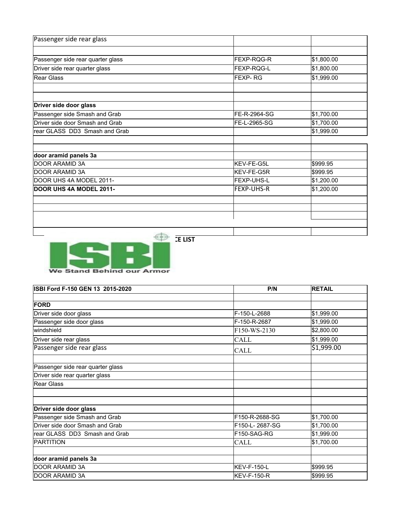| Passenger side rear glass         |                   |            |
|-----------------------------------|-------------------|------------|
|                                   |                   |            |
| Passenger side rear quarter glass | FEXP-RQG-R        | \$1,800.00 |
| Driver side rear quarter glass    | <b>FEXP-RQG-L</b> | \$1,800.00 |
| lRear Glass                       | <b>FEXP-RG</b>    | \$1,999.00 |
|                                   |                   |            |
| Driver side door glass            |                   |            |
| Passenger side Smash and Grab     | FE-R-2964-SG      | \$1,700.00 |
| Driver side door Smash and Grab   | FE-L-2965-SG      | \$1,700.00 |
| rear GLASS DD3 Smash and Grab     |                   | \$1,999.00 |
|                                   |                   |            |
| door aramid panels 3a             |                   |            |
| DOOR ARAMID 3A                    | KEV-FE-G5L        | \$999.95   |
| DOOR ARAMID 3A                    | KEV-FE-G5R        | \$999.95   |
| DOOR UHS 4A MODEL 2011-           | FEXP-UHS-L        | \$1,200.00 |
| DOOR UHS 4A MODEL 2011-           | lfexp-uhs-r       | \$1,200.00 |
|                                   |                   |            |
|                                   |                   |            |
|                                   |                   |            |
|                                   |                   |            |
| and the state of the con-         |                   |            |



**ISBI Ford F-150 GEN 13 2015-2020 P/N RETAIL FORD** Driver side door glass **F-150-L-2688** \$1,999.00 Passenger side door glass **F-150-R-2687** \$1,999.00 windshield **F150-WS-2130** \$2,800.00 Driver side rear glass  $\begin{array}{|c|c|c|c|c|}\n\hline\n\text{CALL} & \text{{$}^{\$4,999.00}\n\hline\n\end{array}$ Passenger side rear glass  $\vert_{\text{CALL}}$  \$1,999.00 Passenger side rear quarter glass Driver side rear quarter glass Rear Glass **Driver side door glass** Passenger side Smash and Grab F150-R-2688-SG \$1,700.00 Driver side door Smash and Grab F150-L- 2687-SG \$1,700.00 rear GLASS DD3 Smash and Grab F150-SAG-RG \$1,999.00 PARTITION CALL \$1,700.00 **door aramid panels 3a DOOR ARAMID 3A** \$999.95 **DOOR ARAMID 3A KEV-F-150-R** \$999.95